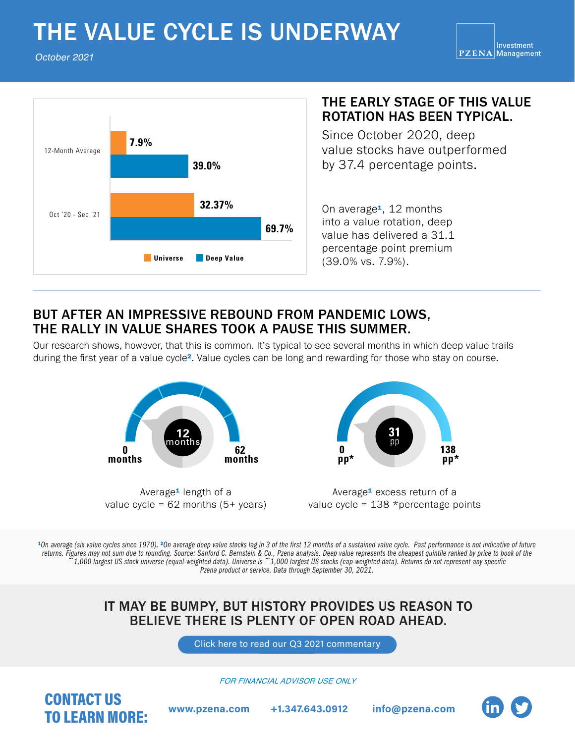# THE VALUE CYCLE IS UNDERWAY

October 2021



#### THE EARLY STAGE OF THIS VALUE ROTATION HAS BEEN TYPICAL.

Since October 2020, deep value stocks have outperformed by 37.4 percentage points.

into a value rotation, deep value has delivered a 31.1 percentage point premium (39.0% vs. 7.9%).

## BUT AFTER AN IMPRESSIVE REBOUND FROM PANDEMIC LOWS, THE RALLY IN VALUE SHARES TOOK A PAUSE THIS SUMMER.

Our research shows, however, that this is common. It's typical to see several months in which deep value trails during the first year of a value cycle². Value cycles can be long and rewarding for those who stay on course.



Average<sup>1</sup> length of a value cycle =  $62$  months  $(5+)$  years)



Average<sup>1</sup> excess return of a value cycle =  $138$  \*percentage points

<sup>1</sup>On average (six value cycles since 1970). <sup>2</sup>On average deep value stocks lag in 3 of the first 12 months of a sustained value cycle. Past performance is not indicative of future *returns. Figures may not sum due to rounding. Source: Sanford C. Bernstein & Co., Pzena analysis. Deep value represents the cheapest quintile ranked by price to book of the ~1,000 largest US stock universe (equal-weighted data). Universe is ~1,000 largest US stocks (cap-weighted data). Returns do not represent any specific Pzena product or service. Data through September 30, 2021.*

### IT MAY BE BUMPY, BUT HISTORY PROVIDES US REASON TO BELIEVE THERE IS PLENTY OF OPEN ROAD AHEAD.

[Click here to read our Q3 2021 commentary](https://www.pzena.com/maintaining-focus-fa/)

*FOR FINANCIAL ADVISOR USE ONLY*